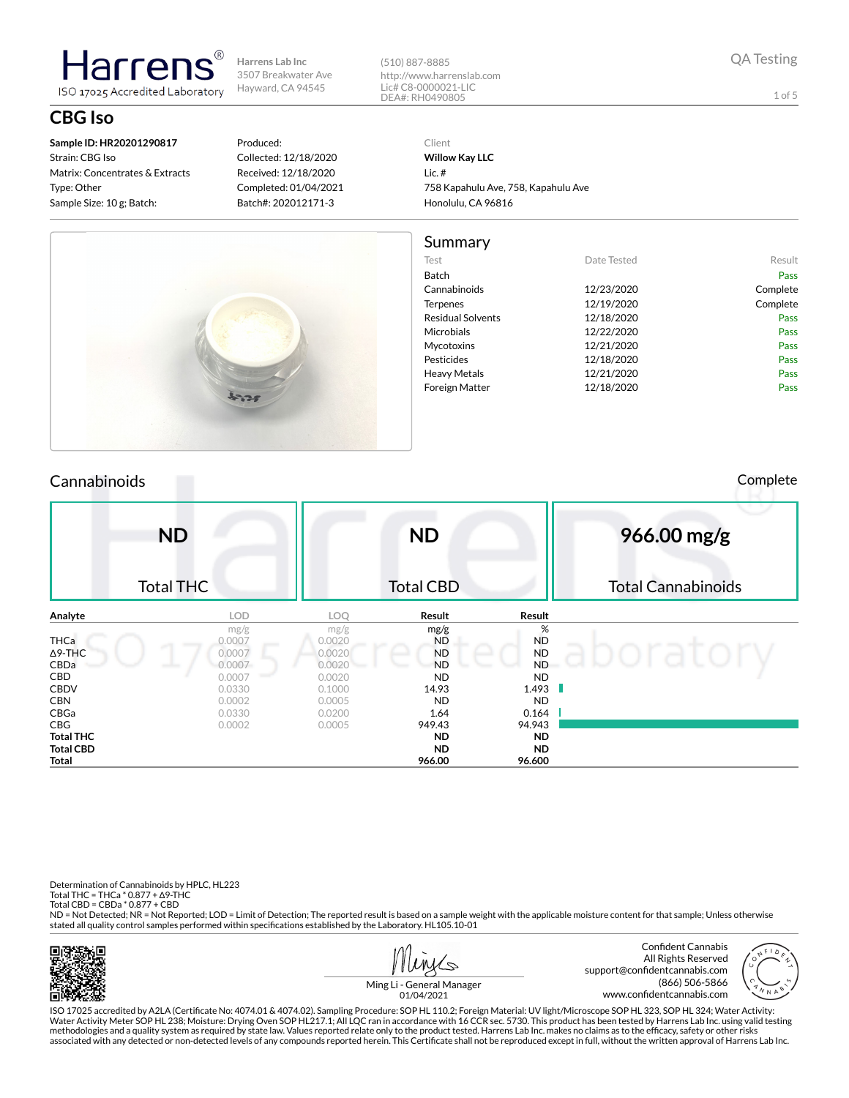(510) 887-8885 http://www.harrenslab.com Lic# C8-0000021-LIC

**CBG Iso**

**Sample ID: HR20201290817** Strain: CBG Iso Matrix: Concentrates & Extracts Type: Other Sample Size: 10 g; Batch:

Harren

ISO 17025 Accredited Laboratory

#### Produced: Collected: 12/18/2020 Received: 12/18/2020 Completed: 01/04/2021 Batch#: 202012171-3

**Total THC ND ND Total CBD ND ND Total 966.00 96.600**

DEA#: RH0490805 Client

> **Willow Kay LLC** Lic. # 758 Kapahulu Ave, 758, Kapahulu Ave Honolulu, CA 96816

#### Summary

| Test                     | Date Tested | Result   |
|--------------------------|-------------|----------|
| <b>Batch</b>             |             | Pass     |
| Cannabinoids             | 12/23/2020  | Complete |
| <b>Terpenes</b>          | 12/19/2020  | Complete |
| <b>Residual Solvents</b> | 12/18/2020  | Pass     |
| Microbials               | 12/22/2020  | Pass     |
| Mycotoxins               | 12/21/2020  | Pass     |
| Pesticides               | 12/18/2020  | Pass     |
| Heavy Metals             | 12/21/2020  | Pass     |
| Foreign Matter           | 12/18/2020  | Pass     |
|                          |             |          |

### Cannabinoids Complete

**ND** Total THC **ND** Total CBD **966.00 mg/g** Total Cannabinoids **Analyte LOD LOQ Result Result** mg/g  $mg/g$  **mg/g**  $mg/g$  **%** THCa 0.0007 0.0020 ND ND ND Δ9-THC ND ND ND CBDa 0.0007 0.0020 ND ND CBD 0.0007 0.0020 ND ND CBDV 0.0330 0.1000 14.93 1.493 **CBN** 0.0002 0.0005 ND ND CBGa 0.0330 0.0200 1.64 0.164 CBG 0.0002 0.0005 949.43 94.943

Determination of Cannabinoids by HPLC, HL223 Total THC = THCa \* 0.877 + ∆9-THC Total CBD = CBDa \* 0.877 + CBD

ND = Not Detected; NR = Not Reported; LOD = Limit of Detection; The reported result is based on a sample weight with the applicable moisture content for that sample; Unless otherwise stated all quality control samples performed within specifications established by the Laboratory. HL105.10-01



 $\mathcal{N}$ 



Ming Li - General Manager 01/04/2021

ISO 17025 accredited by A2LA (Certicate No: 4074.01 & 4074.02). Sampling Procedure: SOP HL 110.2; Foreign Material: UV light/Microscope SOP HL 323, SOP HL 324; Water Activity: Water Activity Meter SOP HL 238; Moisture: Drying Oven SOP HL217.1; All LQC ran in accordance with 16 CCR sec. 5730. This product has been tested by Harrens Lab Inc. using valid testing methodologies and a quality system as required by state law. Values reported relate only to the product tested. Harrens Lab Inc. makes no claims as to the efficacy, safety or other risks<br>associated with any detected or non

QA Testing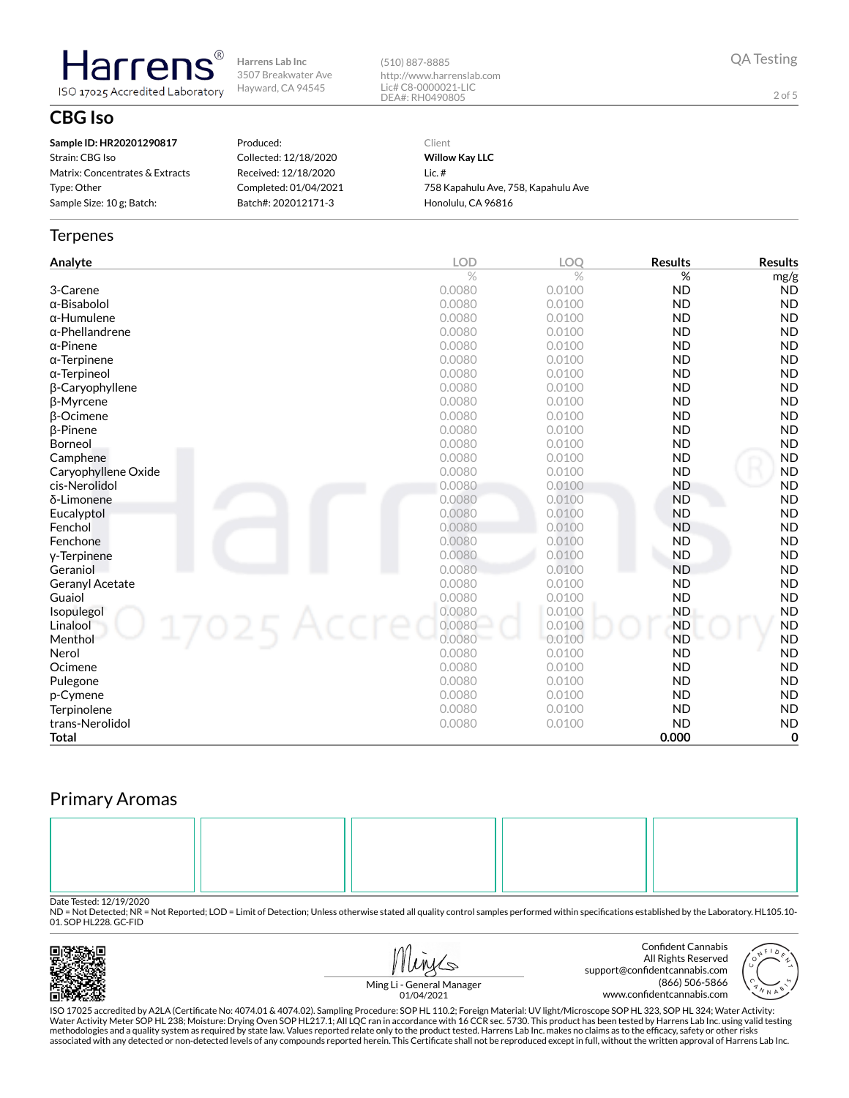(510) 887-8885 http://www.harrenslab.com Lic# C8-0000021-LIC DEA#: RH0490805

QA Testing

2 of 5

# **CBG Iso**

| Sample ID: HR20201290817        |   |
|---------------------------------|---|
| Strain: CBG Iso                 |   |
| Matrix: Concentrates & Extracts | R |
| Type: Other                     |   |
| Sample Size: 10 g; Batch:       | R |
|                                 |   |

**Harrens** 

ISO 17025 Accredited Laboratory

Produced: Collected: 12/18/2020 Received: 12/18/2020 Completed: 01/04/2021 atch#: 202012171-3

Client **Willow Kay LLC** Lic. # 758 Kapahulu Ave, 758, Kapahulu Ave Honolulu, CA 96816

#### **Terpenes**

| Analyte                | <b>LOD</b> | <b>LOO</b> | <b>Results</b> | <b>Results</b> |
|------------------------|------------|------------|----------------|----------------|
|                        | $\%$       | $\%$       | %              | mg/g           |
| 3-Carene               | 0.0080     | 0.0100     | <b>ND</b>      | <b>ND</b>      |
| $\alpha$ -Bisabolol    | 0.0080     | 0.0100     | <b>ND</b>      | <b>ND</b>      |
| $\alpha$ -Humulene     | 0.0080     | 0.0100     | <b>ND</b>      | <b>ND</b>      |
| $\alpha$ -Phellandrene | 0.0080     | 0.0100     | <b>ND</b>      | <b>ND</b>      |
| $\alpha$ -Pinene       | 0.0080     | 0.0100     | <b>ND</b>      | <b>ND</b>      |
| $\alpha$ -Terpinene    | 0.0080     | 0.0100     | <b>ND</b>      | <b>ND</b>      |
| $\alpha$ -Terpineol    | 0.0080     | 0.0100     | <b>ND</b>      | <b>ND</b>      |
| β-Caryophyllene        | 0.0080     | 0.0100     | <b>ND</b>      | <b>ND</b>      |
| β-Myrcene              | 0.0080     | 0.0100     | <b>ND</b>      | <b>ND</b>      |
| $\beta$ -Ocimene       | 0.0080     | 0.0100     | <b>ND</b>      | <b>ND</b>      |
| $\beta$ -Pinene        | 0.0080     | 0.0100     | <b>ND</b>      | <b>ND</b>      |
| Borneol                | 0.0080     | 0.0100     | <b>ND</b>      | <b>ND</b>      |
| Camphene               | 0.0080     | 0.0100     | <b>ND</b>      | <b>ND</b>      |
| Caryophyllene Oxide    | 0.0080     | 0.0100     | <b>ND</b>      | <b>ND</b>      |
| cis-Nerolidol          | 0.0080     | 0.0100     | <b>ND</b>      | <b>ND</b>      |
| δ-Limonene             | 0.0080     | 0.0100     | <b>ND</b>      | <b>ND</b>      |
| Eucalyptol             | 0.0080     | 0.0100     | <b>ND</b>      | <b>ND</b>      |
| Fenchol                | 0.0080     | 0.0100     | <b>ND</b>      | <b>ND</b>      |
| Fenchone               | 0.0080     | 0.0100     | <b>ND</b>      | <b>ND</b>      |
| y-Terpinene            | 0.0080     | 0.0100     | <b>ND</b>      | <b>ND</b>      |
| Geraniol               | 0.0080     | 0.0100     | <b>ND</b>      | <b>ND</b>      |
| Geranyl Acetate        | 0.0080     | 0.0100     | <b>ND</b>      | <b>ND</b>      |
| Guaiol                 | 0.0080     | 0.0100     | <b>ND</b>      | <b>ND</b>      |
| Isopulegol             | 0.0080     | 0.0100     | <b>ND</b>      | <b>ND</b>      |
| 17025 Accr<br>Linalool | 0.0080     | 0.0100     | <b>ND</b>      | <b>ND</b>      |
| Menthol                | 0.0080     | 0.0100     | <b>ND</b>      | <b>ND</b>      |
| Nerol                  | 0.0080     | 0.0100     | <b>ND</b>      | <b>ND</b>      |
| Ocimene                | 0.0080     | 0.0100     | <b>ND</b>      | <b>ND</b>      |
| Pulegone               | 0.0080     | 0.0100     | <b>ND</b>      | <b>ND</b>      |
| p-Cymene               | 0.0080     | 0.0100     | <b>ND</b>      | <b>ND</b>      |
| Terpinolene            | 0.0080     | 0.0100     | <b>ND</b>      | <b>ND</b>      |
| trans-Nerolidol        | 0.0080     | 0.0100     | <b>ND</b>      | <b>ND</b>      |
| <b>Total</b>           |            |            | 0.000          | 0              |

# Primary Aromas



Date Tested: 12/19/2020<br>ND = Not Detected; NR = Not Reported; LOD = Limit of Detection; Unless otherwise stated all quality control samples performed within specifications established by the Laboratory. HL105.10-01. SOP HL228. GC-FID



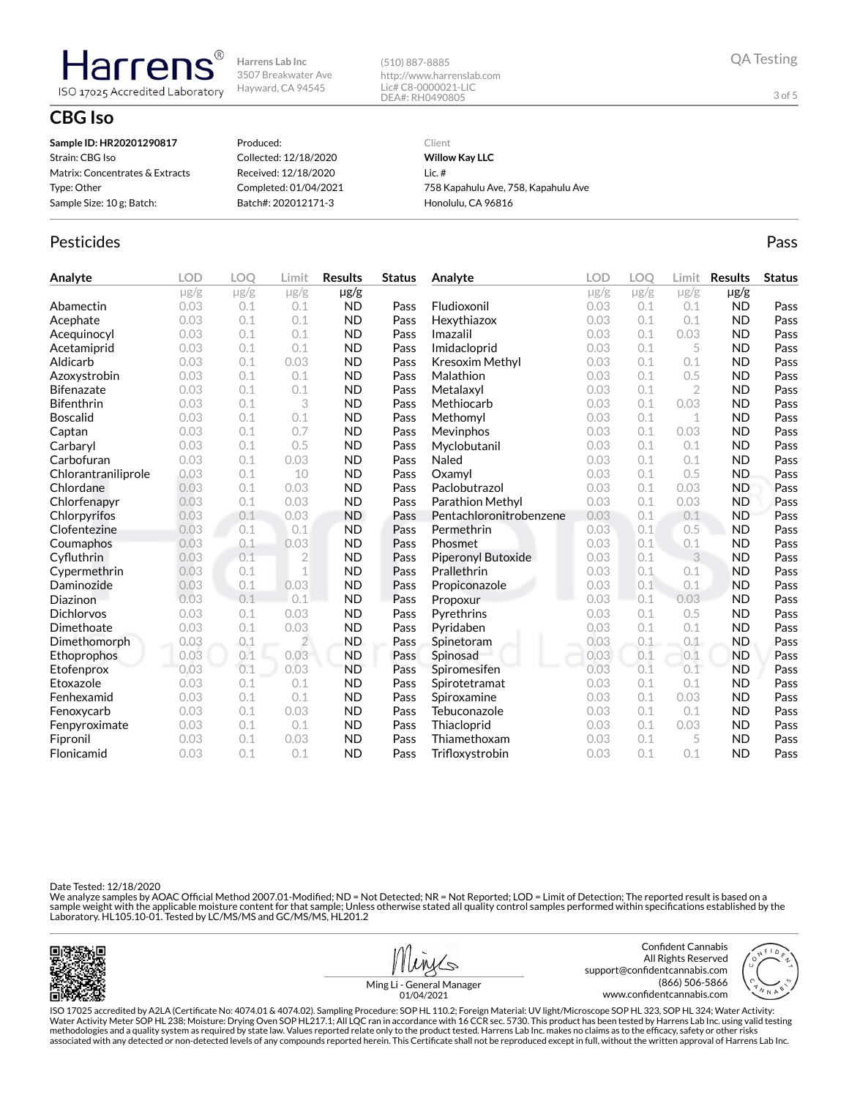(510) 887-8885 http://www.harrenslab.com Lic# C8-0000021-LIC DEA#: RH0490805

### **CBG Iso**

Harren

ISO 17025 Accredited Laboratory

| Sample ID: HR20201290817        | Produced:             | Client                              |
|---------------------------------|-----------------------|-------------------------------------|
| Strain: CBG Iso                 | Collected: 12/18/2020 | <b>Willow Kay LLC</b>               |
| Matrix: Concentrates & Extracts | Received: 12/18/2020  | Lic. $#$                            |
| Type: Other                     | Completed: 01/04/2021 | 758 Kapahulu Ave, 758, Kapahulu Ave |
| Sample Size: 10 g; Batch:       | Batch#: 202012171-3   | Honolulu, CA 96816                  |
|                                 |                       |                                     |

#### Pesticides **Passage Community Community Community** Passes and the extension of the extension of the extension of the extension of the extension of the extension of the extension of the extension of the extension of the ext

| Analyte             | <b>LOD</b> | LOO       | Limit          | <b>Results</b> | <b>Status</b> | Analyte                 | <b>LOD</b> | <b>LOO</b> | Limit        | <b>Results</b> | <b>Status</b> |
|---------------------|------------|-----------|----------------|----------------|---------------|-------------------------|------------|------------|--------------|----------------|---------------|
|                     | $\mu$ g/g  | $\mu$ g/g | $\mu$ g/g      | $\mu$ g/g      |               |                         | $\mu$ g/g  | $\mu$ g/g  | $\mu$ g/g    | $\mu$ g/g      |               |
| Abamectin           | 0.03       | 0.1       | 0.1            | <b>ND</b>      | Pass          | Fludioxonil             | 0.03       | 0.1        | 0.1          | <b>ND</b>      | Pass          |
| Acephate            | 0.03       | 0.1       | 0.1            | <b>ND</b>      | Pass          | Hexythiazox             | 0.03       | 0.1        | 0.1          | <b>ND</b>      | Pass          |
| Acequinocyl         | 0.03       | 0.1       | 0.1            | <b>ND</b>      | Pass          | Imazalil                | 0.03       | 0.1        | 0.03         | <b>ND</b>      | Pass          |
| Acetamiprid         | 0.03       | 0.1       | 0.1            | <b>ND</b>      | Pass          | Imidacloprid            | 0.03       | 0.1        | 5            | <b>ND</b>      | Pass          |
| Aldicarb            | 0.03       | 0.1       | 0.03           | <b>ND</b>      | Pass          | Kresoxim Methyl         | 0.03       | 0.1        | 0.1          | <b>ND</b>      | Pass          |
| Azoxystrobin        | 0.03       | 0.1       | 0.1            | <b>ND</b>      | Pass          | Malathion               | 0.03       | 0.1        | 0.5          | <b>ND</b>      | Pass          |
| <b>Bifenazate</b>   | 0.03       | 0.1       | 0.1            | <b>ND</b>      | Pass          | Metalaxyl               | 0.03       | 0.1        | $\mathbf{2}$ | <b>ND</b>      | Pass          |
| <b>Bifenthrin</b>   | 0.03       | 0.1       | 3              | <b>ND</b>      | Pass          | Methiocarb              | 0.03       | 0.1        | 0.03         | <b>ND</b>      | Pass          |
| <b>Boscalid</b>     | 0.03       | 0.1       | 0.1            | <b>ND</b>      | Pass          | Methomyl                | 0.03       | 0.1        | 1            | <b>ND</b>      | Pass          |
| Captan              | 0.03       | 0.1       | 0.7            | <b>ND</b>      | Pass          | Mevinphos               | 0.03       | 0.1        | 0.03         | <b>ND</b>      | Pass          |
| Carbaryl            | 0.03       | 0.1       | 0.5            | <b>ND</b>      | Pass          | Myclobutanil            | 0.03       | 0.1        | 0.1          | <b>ND</b>      | Pass          |
| Carbofuran          | 0.03       | 0.1       | 0.03           | <b>ND</b>      | Pass          | Naled                   | 0.03       | 0.1        | 0.1          | <b>ND</b>      | Pass          |
| Chlorantraniliprole | 0.03       | 0.1       | 10             | <b>ND</b>      | Pass          | Oxamyl                  | 0.03       | 0.1        | 0.5          | <b>ND</b>      | Pass          |
| Chlordane           | 0.03       | 0.1       | 0.03           | <b>ND</b>      | Pass          | Paclobutrazol           | 0.03       | 0.1        | 0.03         | <b>ND</b>      | Pass          |
| Chlorfenapyr        | 0.03       | 0.1       | 0.03           | <b>ND</b>      | Pass          | Parathion Methyl        | 0.03       | 0.1        | 0.03         | <b>ND</b>      | Pass          |
| Chlorpyrifos        | 0.03       | 0.1       | 0.03           | <b>ND</b>      | Pass          | Pentachloronitrobenzene | 0.03       | 0.1        | 0.1          | <b>ND</b>      | Pass          |
| Clofentezine        | 0.03       | 0.1       | 0.1            | <b>ND</b>      | Pass          | Permethrin              | 0.03       | 0.1        | 0.5          | <b>ND</b>      | Pass          |
| Coumaphos           | 0.03       | 0.1       | 0.03           | <b>ND</b>      | Pass          | Phosmet                 | 0.03       | 0.1        | 0.1          | <b>ND</b>      | Pass          |
| Cyfluthrin          | 0.03       | 0.1       | $\overline{2}$ | <b>ND</b>      | Pass          | Piperonyl Butoxide      | 0.03       | 0.1        | 3            | <b>ND</b>      | Pass          |
| Cypermethrin        | 0.03       | 0.1       | $\mathbf 1$    | <b>ND</b>      | Pass          | Prallethrin             | 0.03       | 0.1        | 0.1          | <b>ND</b>      | Pass          |
| Daminozide          | 0.03       | 0.1       | 0.03           | <b>ND</b>      | Pass          | Propiconazole           | 0.03       | 0.1        | 0.1          | <b>ND</b>      | Pass          |
| Diazinon            | 0.03       | 0.1       | 0.1            | <b>ND</b>      | Pass          | Propoxur                | 0.03       | 0.1        | 0.03         | <b>ND</b>      | Pass          |
| <b>Dichlorvos</b>   | 0.03       | 0.1       | 0.03           | <b>ND</b>      | Pass          | Pyrethrins              | 0.03       | 0.1        | 0.5          | <b>ND</b>      | Pass          |
| Dimethoate          | 0.03       | 0.1       | 0.03           | <b>ND</b>      | Pass          | Pyridaben               | 0.03       | 0.1        | 0.1          | <b>ND</b>      | Pass          |
| Dimethomorph        | 0.03       | 0.1       | $\overline{2}$ | ND.            | Pass          | Spinetoram              | 0.03       | 0.1        | 0.1          | <b>ND</b>      | Pass          |
| <b>Ethoprophos</b>  | 0.03       | 0.1       | 0.03           | <b>ND</b>      | Pass          | Spinosad                | 0.03       | 0.1        | 0.1          | <b>ND</b>      | Pass          |
| Etofenprox          | 0.03       | 0.1       | 0.03           | <b>ND</b>      | Pass          | Spiromesifen            | 0.03       | 0.1        | 0.1          | <b>ND</b>      | Pass          |
| Etoxazole           | 0.03       | 0.1       | 0.1            | <b>ND</b>      | Pass          | Spirotetramat           | 0.03       | 0.1        | 0.1          | <b>ND</b>      | Pass          |
| Fenhexamid          | 0.03       | 0.1       | 0.1            | <b>ND</b>      | Pass          | Spiroxamine             | 0.03       | 0.1        | 0.03         | <b>ND</b>      | Pass          |
| Fenoxycarb          | 0.03       | 0.1       | 0.03           | <b>ND</b>      | Pass          | Tebuconazole            | 0.03       | 0.1        | 0.1          | <b>ND</b>      | Pass          |
| Fenpyroximate       | 0.03       | 0.1       | 0.1            | <b>ND</b>      | Pass          | Thiacloprid             | 0.03       | 0.1        | 0.03         | <b>ND</b>      | Pass          |
| Fipronil            | 0.03       | 0.1       | 0.03           | <b>ND</b>      | Pass          | Thiamethoxam            | 0.03       | 0.1        | 5            | <b>ND</b>      | Pass          |
| Flonicamid          | 0.03       | 0.1       | 0.1            | <b>ND</b>      | Pass          | Trifloxystrobin         | 0.03       | 0.1        | 0.1          | <b>ND</b>      | Pass          |

Date Tested: 12/18/2020

We analyze samples by AOAC Official Method 2007.01-Modified; ND = Not Detected; NR = Not Reported; LOD = Limit of Detection; The reported result is based on a sample weight with the applicable moisture content for that sample; Unless otherwise stated all quality control samples performed within specifications established by the<br>Laboratory. HL105.10-01. Tested by LC/MS/MS and GC/





Ming Li - General Manager 01/04/2021

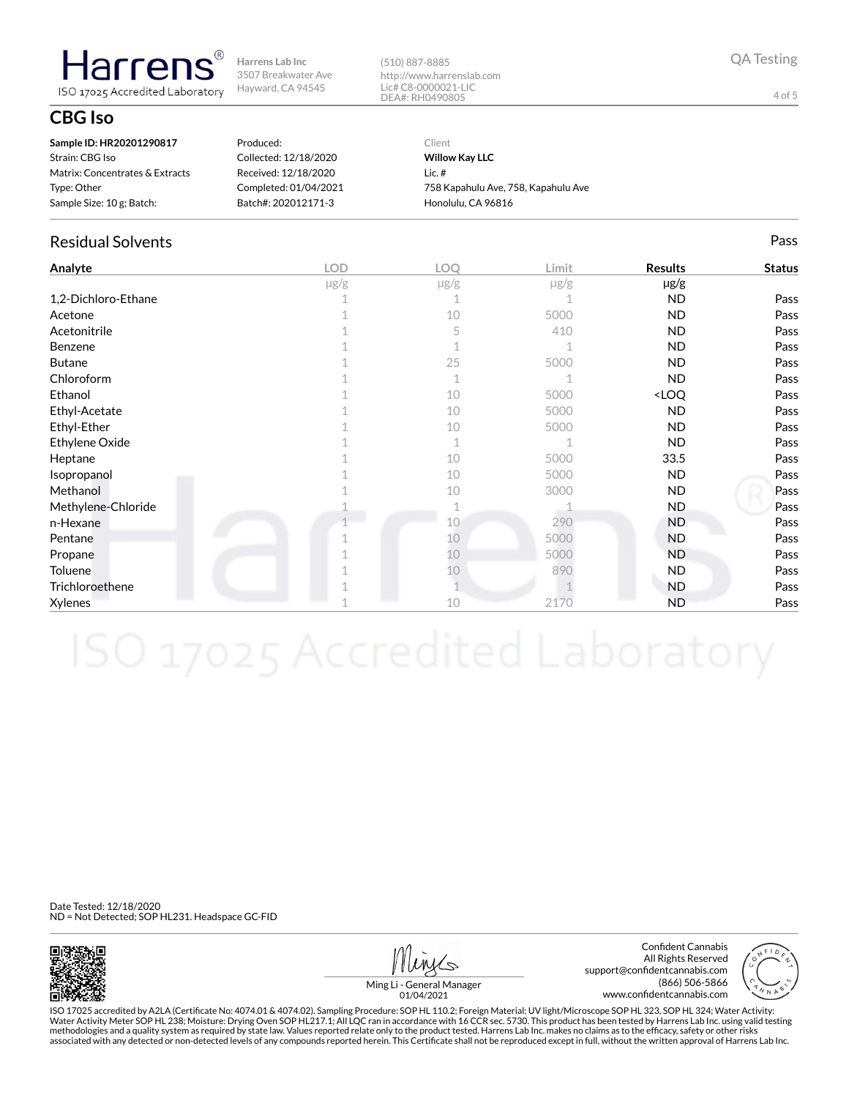(510) 887-8885 http://www.harrenslab.com Lic# C8-0000021-LIC DEA#: RH0490805

QA Testing

4 of 5

## **CBG Iso**

| Sample ID: HR20201290817        | Produced:             | Client                              |
|---------------------------------|-----------------------|-------------------------------------|
| Strain: CBG Iso                 | Collected: 12/18/2020 | <b>Willow Kay LLC</b>               |
| Matrix: Concentrates & Extracts | Received: 12/18/2020  | Lic. #                              |
| Type: Other                     | Completed: 01/04/2021 | 758 Kapahulu Ave, 758, Kapahulu Ave |
| Sample Size: 10 g; Batch:       | Batch#: 202012171-3   | Honolulu, CA 96816                  |

### Residual Solvents Pass

**Harrens** ISO 17025 Accredited Laboratory

| Analyte             | <b>LOD</b> | LOQ         | Limit     | <b>Results</b>                   | <b>Status</b> |
|---------------------|------------|-------------|-----------|----------------------------------|---------------|
|                     | $\mu$ g/g  | $\mu$ g/g   | $\mu$ g/g | µg/g                             |               |
| 1,2-Dichloro-Ethane |            |             |           | <b>ND</b>                        | Pass          |
| Acetone             |            | 10          | 5000      | <b>ND</b>                        | Pass          |
| Acetonitrile        |            | 5           | 410       | <b>ND</b>                        | Pass          |
| Benzene             |            |             |           | <b>ND</b>                        | Pass          |
| <b>Butane</b>       |            | 25          | 5000      | <b>ND</b>                        | Pass          |
| Chloroform          |            | 1           |           | <b>ND</b>                        | Pass          |
| Ethanol             |            | 10          | 5000      | <loq< td=""><td>Pass</td></loq<> | Pass          |
| Ethyl-Acetate       |            | 10          | 5000      | <b>ND</b>                        | Pass          |
| Ethyl-Ether         |            | 10          | 5000      | <b>ND</b>                        | Pass          |
| Ethylene Oxide      |            | $\mathbf 1$ |           | <b>ND</b>                        | Pass          |
| Heptane             |            | 10          | 5000      | 33.5                             | Pass          |
| Isopropanol         |            | 10          | 5000      | <b>ND</b>                        | Pass          |
| Methanol            |            | 10          | 3000      | <b>ND</b>                        | Pass          |
| Methylene-Chloride  |            |             |           | N <sub>D</sub>                   | Pass          |
| n-Hexane            |            | 10          | 290       | <b>ND</b>                        | Pass          |
| Pentane             |            | 10          | 5000      | <b>ND</b>                        | Pass          |
| Propane             |            | 10          | 5000      | <b>ND</b>                        | Pass          |
| Toluene             |            | 10          | 890       | <b>ND</b>                        | Pass          |
| Trichloroethene     |            |             |           | <b>ND</b>                        | Pass          |
| Xylenes             |            | 10          | 2170      | <b>ND</b>                        | Pass          |

Date Tested: 12/18/2020 ND = Not Detected; SOP HL231. Headspace GC-FID



Confident Cannabis All Rights Reserved support@confidentcannabis.com (866) 506-5866 www.confidentcannabis.com



Ming Li - General Manager 01/04/2021